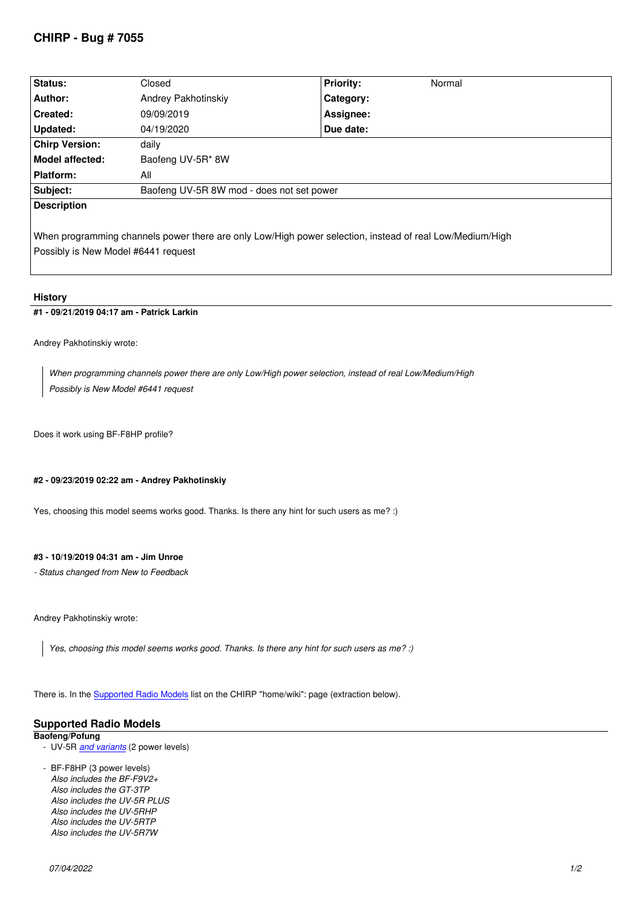| Status:                                                                                                                                         | Closed                                    | <b>Priority:</b> | Normal |
|-------------------------------------------------------------------------------------------------------------------------------------------------|-------------------------------------------|------------------|--------|
| Author:                                                                                                                                         | Andrey Pakhotinskiy                       | Category:        |        |
| <b>Created:</b>                                                                                                                                 | 09/09/2019                                | Assignee:        |        |
| Updated:                                                                                                                                        | 04/19/2020                                | Due date:        |        |
| <b>Chirp Version:</b>                                                                                                                           | daily                                     |                  |        |
| <b>Model affected:</b>                                                                                                                          | Baofeng UV-5R* 8W                         |                  |        |
| <b>Platform:</b>                                                                                                                                | All                                       |                  |        |
| Subject:                                                                                                                                        | Baofeng UV-5R 8W mod - does not set power |                  |        |
| <b>Description</b>                                                                                                                              |                                           |                  |        |
| When programming channels power there are only Low/High power selection, instead of real Low/Medium/High<br>Possibly is New Model #6441 request |                                           |                  |        |

## **History**

#### **#1 - 09/21/2019 04:17 am - Patrick Larkin**

*Andrey Pakhotinskiy wrote:*

*When programming channels power there are only Low/High power selection, instead of real Low/Medium/High Possibly is New Model #6441 request*

*Does it work using BF-F8HP profile?*

#### **#2 - 09/23/2019 02:22 am - Andrey Pakhotinskiy**

*Yes, choosing this model seems works good. Thanks. Is there any hint for such users as me? :)*

#### **#3 - 10/19/2019 04:31 am - Jim Unroe**

*- Status changed from New to Feedback*

*Andrey Pakhotinskiy wrote:*

*Yes, choosing this model seems works good. Thanks. Is there any hint for such users as me? :)*

*There is. In the Supported Radio Models list on the CHIRP "home/wiki": page (extraction below).*

# **Supported Radio Models**

### **Baofeng/Pofung**

 *- UV-5R and variants [\(2 power levels\)](https://chirp.danplanet.com/projects/chirp/wiki/Home)*

 *- BF-F8HP (3 power levels) Also includes the BF-F9V2+ Also includes the GT-3TP Also in[cludes the UV](http://chirp.danplanet.com/projects/chirp/wiki/Baofeng_UV5R_Variants)-5R PLUS Also includes the UV-5RHP Also includes the UV-5RTP Also includes the UV-5R7W*